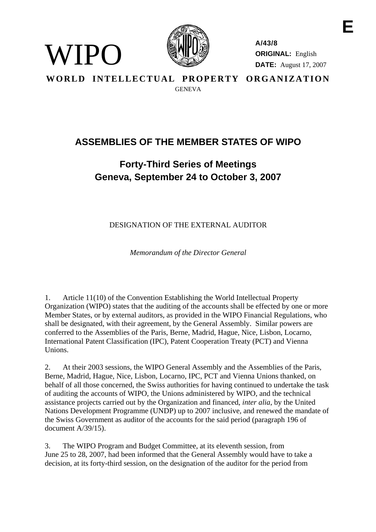

WIPO)

**A/43/8 ORIGINAL:** English **DATE:** August 17, 2007

**WORLD INTELLECTUAL PROPERTY ORGANIZATION GENEVA** 

## **ASSEMBLIES OF THE MEMBER STATES OF WIPO**

## **Forty-Third Series of Meetings Geneva, September 24 to October 3, 2007**

DESIGNATION OF THE EXTERNAL AUDITOR

*Memorandum of the Director General* 

1. Article 11(10) of the Convention Establishing the World Intellectual Property Organization (WIPO) states that the auditing of the accounts shall be effected by one or more Member States, or by external auditors, as provided in the WIPO Financial Regulations, who shall be designated, with their agreement, by the General Assembly. Similar powers are conferred to the Assemblies of the Paris, Berne, Madrid, Hague, Nice, Lisbon, Locarno, International Patent Classification (IPC), Patent Cooperation Treaty (PCT) and Vienna Unions.

2. At their 2003 sessions, the WIPO General Assembly and the Assemblies of the Paris, Berne, Madrid, Hague, Nice, Lisbon, Locarno, IPC, PCT and Vienna Unions thanked, on behalf of all those concerned, the Swiss authorities for having continued to undertake the task of auditing the accounts of WIPO, the Unions administered by WIPO, and the technical assistance projects carried out by the Organization and financed, *inter alia*, by the United Nations Development Programme (UNDP) up to 2007 inclusive, and renewed the mandate of the Swiss Government as auditor of the accounts for the said period (paragraph 196 of document A/39/15).

3. The WIPO Program and Budget Committee, at its eleventh session, from June 25 to 28, 2007, had been informed that the General Assembly would have to take a decision, at its forty-third session, on the designation of the auditor for the period from